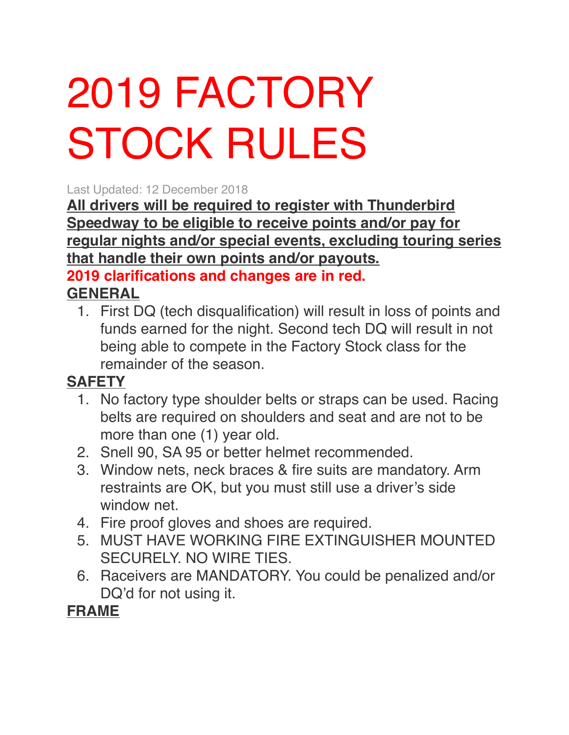# 2019 FACTORY STOCK RULES

Last Updated: 12 December 2018

**All drivers will be required to register with Thunderbird Speedway to be eligible to receive points and/or pay for regular nights and/or special events, excluding touring series that handle their own points and/or payouts. 2019 clarifications and changes are in red. GENERAL**

1. First DQ (tech disqualification) will result in loss of points and funds earned for the night. Second tech DQ will result in not being able to compete in the Factory Stock class for the remainder of the season.

#### **SAFETY**

- 1. No factory type shoulder belts or straps can be used. Racing belts are required on shoulders and seat and are not to be more than one (1) year old.
- 2. Snell 90, SA 95 or better helmet recommended.
- 3. Window nets, neck braces & fire suits are mandatory. Arm restraints are OK, but you must still use a driver's side window net.
- 4. Fire proof gloves and shoes are required.
- 5. MUST HAVE WORKING FIRE EXTINGUISHER MOUNTED SECURELY. NO WIRE TIES.
- 6. Raceivers are MANDATORY. You could be penalized and/or DQ'd for not using it.

#### **FRAME**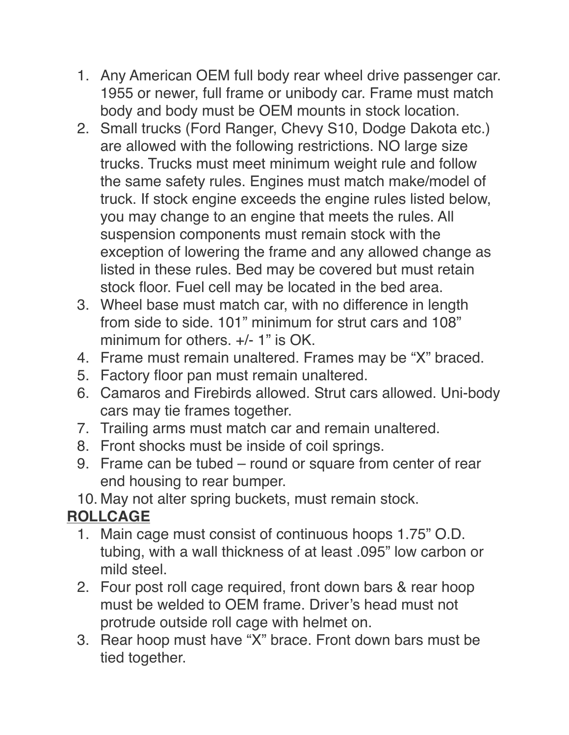- 1. Any American OEM full body rear wheel drive passenger car. 1955 or newer, full frame or unibody car. Frame must match body and body must be OEM mounts in stock location.
- 2. Small trucks (Ford Ranger, Chevy S10, Dodge Dakota etc.) are allowed with the following restrictions. NO large size trucks. Trucks must meet minimum weight rule and follow the same safety rules. Engines must match make/model of truck. If stock engine exceeds the engine rules listed below, you may change to an engine that meets the rules. All suspension components must remain stock with the exception of lowering the frame and any allowed change as listed in these rules. Bed may be covered but must retain stock floor. Fuel cell may be located in the bed area.
- 3. Wheel base must match car, with no difference in length from side to side. 101" minimum for strut cars and 108" minimum for others. +/- 1" is OK.
- 4. Frame must remain unaltered. Frames may be "X" braced.
- 5. Factory floor pan must remain unaltered.
- 6. Camaros and Firebirds allowed. Strut cars allowed. Uni-body cars may tie frames together.
- 7. Trailing arms must match car and remain unaltered.
- 8. Front shocks must be inside of coil springs.
- 9. Frame can be tubed round or square from center of rear end housing to rear bumper.
- 10. May not alter spring buckets, must remain stock.

#### **ROLLCAGE**

- 1. Main cage must consist of continuous hoops 1.75" O.D. tubing, with a wall thickness of at least .095" low carbon or mild steel.
- 2. Four post roll cage required, front down bars & rear hoop must be welded to OEM frame. Driver's head must not protrude outside roll cage with helmet on.
- 3. Rear hoop must have "X" brace. Front down bars must be tied together.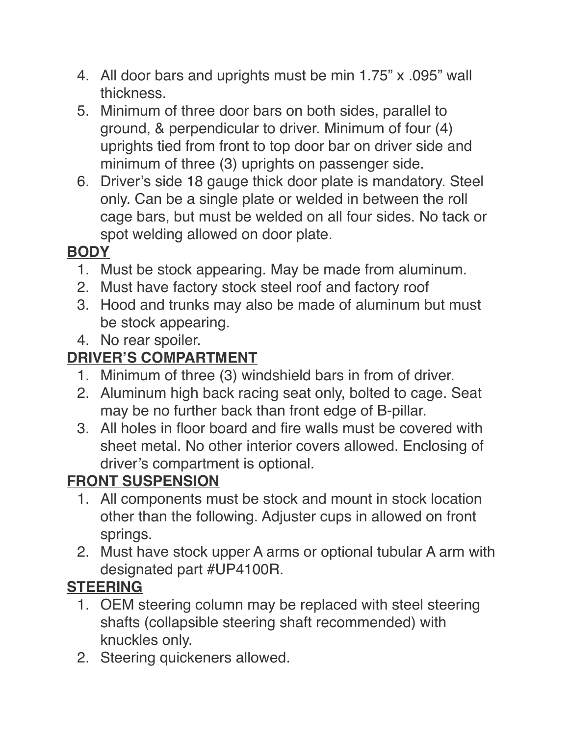- 4. All door bars and uprights must be min 1.75" x .095" wall thickness.
- 5. Minimum of three door bars on both sides, parallel to ground, & perpendicular to driver. Minimum of four (4) uprights tied from front to top door bar on driver side and minimum of three (3) uprights on passenger side.
- 6. Driver's side 18 gauge thick door plate is mandatory. Steel only. Can be a single plate or welded in between the roll cage bars, but must be welded on all four sides. No tack or spot welding allowed on door plate.

## **BODY**

- 1. Must be stock appearing. May be made from aluminum.
- 2. Must have factory stock steel roof and factory roof
- 3. Hood and trunks may also be made of aluminum but must be stock appearing.
- 4. No rear spoiler.

## **DRIVER'S COMPARTMENT**

- 1. Minimum of three (3) windshield bars in from of driver.
- 2. Aluminum high back racing seat only, bolted to cage. Seat may be no further back than front edge of B-pillar.
- 3. All holes in floor board and fire walls must be covered with sheet metal. No other interior covers allowed. Enclosing of driver's compartment is optional.

## **FRONT SUSPENSION**

- 1. All components must be stock and mount in stock location other than the following. Adjuster cups in allowed on front springs.
- 2. Must have stock upper A arms or optional tubular A arm with designated part #UP4100R.

## **STEERING**

- 1. OEM steering column may be replaced with steel steering shafts (collapsible steering shaft recommended) with knuckles only.
- 2. Steering quickeners allowed.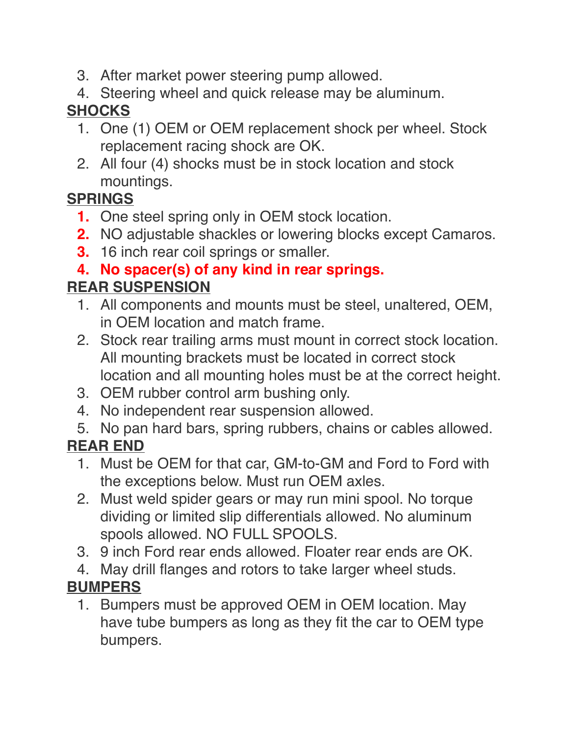- 3. After market power steering pump allowed.
- 4. Steering wheel and quick release may be aluminum.

## **SHOCKS**

- 1. One (1) OEM or OEM replacement shock per wheel. Stock replacement racing shock are OK.
- 2. All four (4) shocks must be in stock location and stock mountings.

#### **SPRINGS**

- **1.** One steel spring only in OEM stock location.
- **2.** NO adjustable shackles or lowering blocks except Camaros.
- **3.** 16 inch rear coil springs or smaller.

## **4. No spacer(s) of any kind in rear springs.**

## **REAR SUSPENSION**

- 1. All components and mounts must be steel, unaltered, OEM, in OEM location and match frame.
- 2. Stock rear trailing arms must mount in correct stock location. All mounting brackets must be located in correct stock location and all mounting holes must be at the correct height.
- 3. OEM rubber control arm bushing only.
- 4. No independent rear suspension allowed.
- 5. No pan hard bars, spring rubbers, chains or cables allowed.

## **REAR END**

- 1. Must be OEM for that car, GM-to-GM and Ford to Ford with the exceptions below. Must run OEM axles.
- 2. Must weld spider gears or may run mini spool. No torque dividing or limited slip differentials allowed. No aluminum spools allowed. NO FULL SPOOLS.
- 3. 9 inch Ford rear ends allowed. Floater rear ends are OK.
- 4. May drill flanges and rotors to take larger wheel studs.

## **BUMPERS**

1. Bumpers must be approved OEM in OEM location. May have tube bumpers as long as they fit the car to OEM type bumpers.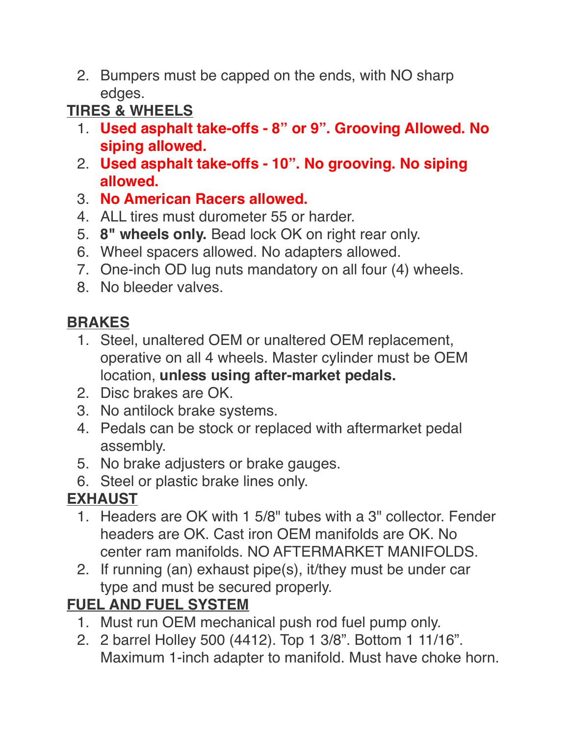2. Bumpers must be capped on the ends, with NO sharp edges.

**TIRES & WHEELS**

- 1. **Used asphalt take-offs 8" or 9". Grooving Allowed. No siping allowed.**
- 2. **Used asphalt take-offs 10". No grooving. No siping allowed.**
- 3. **No American Racers allowed.**
- 4. ALL tires must durometer 55 or harder.
- 5. **8" wheels only.** Bead lock OK on right rear only.
- 6. Wheel spacers allowed. No adapters allowed.
- 7. One-inch OD lug nuts mandatory on all four (4) wheels.
- 8. No bleeder valves.

## **BRAKES**

- 1. Steel, unaltered OEM or unaltered OEM replacement, operative on all 4 wheels. Master cylinder must be OEM location, **unless using after-market pedals.**
- 2. Disc brakes are OK.
- 3. No antilock brake systems.
- 4. Pedals can be stock or replaced with aftermarket pedal assembly.
- 5. No brake adjusters or brake gauges.
- 6. Steel or plastic brake lines only.

## **EXHAUST**

- 1. Headers are OK with 1 5/8" tubes with a 3" collector. Fender headers are OK. Cast iron OEM manifolds are OK. No center ram manifolds. NO AFTERMARKET MANIFOLDS.
- 2. If running (an) exhaust pipe(s), it/they must be under car type and must be secured properly.

## **FUEL AND FUEL SYSTEM**

- 1. Must run OEM mechanical push rod fuel pump only.
- 2. 2 barrel Holley 500 (4412). Top 1 3/8". Bottom 1 11/16". Maximum 1-inch adapter to manifold. Must have choke horn.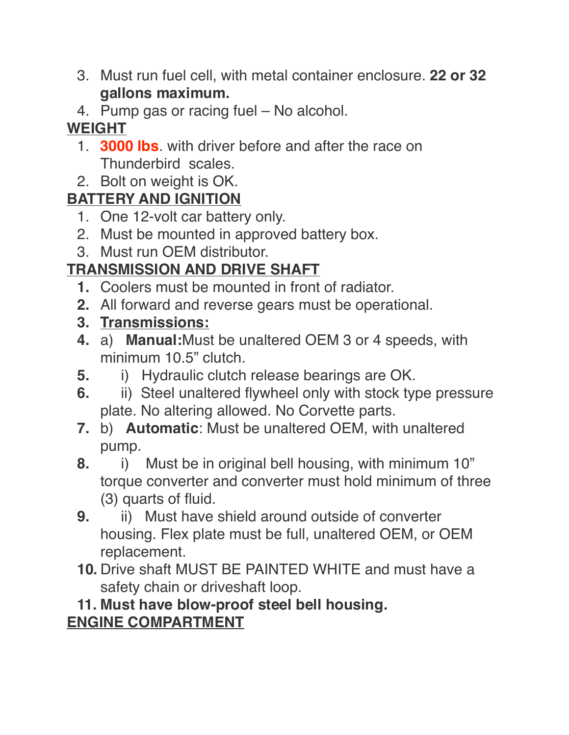- 3. Must run fuel cell, with metal container enclosure. **22 or 32 gallons maximum.**
- 4. Pump gas or racing fuel No alcohol.

## **WEIGHT**

- 1. **3000 lbs**. with driver before and after the race on Thunderbird scales.
- 2. Bolt on weight is OK.

## **BATTERY AND IGNITION**

- 1. One 12-volt car battery only.
- 2. Must be mounted in approved battery box.
- 3. Must run OEM distributor.

## **TRANSMISSION AND DRIVE SHAFT**

- **1.** Coolers must be mounted in front of radiator.
- **2.** All forward and reverse gears must be operational.
- **3. Transmissions:**
- **4.** a) **Manual:**Must be unaltered OEM 3 or 4 speeds, with minimum 10.5" clutch.
- **5.** i) Hydraulic clutch release bearings are OK.
- **6.** ii) Steel unaltered flywheel only with stock type pressure plate. No altering allowed. No Corvette parts.
- **7.** b) **Automatic**: Must be unaltered OEM, with unaltered pump.
- **8.** i) Must be in original bell housing, with minimum 10" torque converter and converter must hold minimum of three (3) quarts of fluid.
- **9.** ii) Must have shield around outside of converter housing. Flex plate must be full, unaltered OEM, or OEM replacement.
- **10.** Drive shaft MUST BE PAINTED WHITE and must have a safety chain or driveshaft loop.

#### **11. Must have blow-proof steel bell housing. ENGINE COMPARTMENT**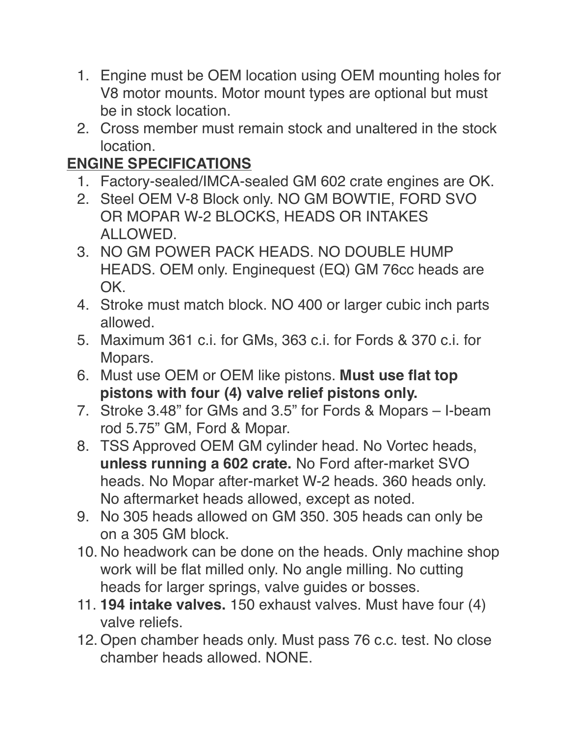- 1. Engine must be OEM location using OEM mounting holes for V8 motor mounts. Motor mount types are optional but must be in stock location.
- 2. Cross member must remain stock and unaltered in the stock location.

## **ENGINE SPECIFICATIONS**

- 1. Factory-sealed/IMCA-sealed GM 602 crate engines are OK.
- 2. Steel OEM V-8 Block only. NO GM BOWTIE, FORD SVO OR MOPAR W-2 BLOCKS, HEADS OR INTAKES ALLOWED.
- 3. NO GM POWER PACK HEADS. NO DOUBLE HUMP HEADS. OEM only. Enginequest (EQ) GM 76cc heads are OK.
- 4. Stroke must match block. NO 400 or larger cubic inch parts allowed.
- 5. Maximum 361 c.i. for GMs, 363 c.i. for Fords & 370 c.i. for Mopars.
- 6. Must use OEM or OEM like pistons. **Must use flat top pistons with four (4) valve relief pistons only.**
- 7. Stroke 3.48" for GMs and 3.5" for Fords & Mopars I-beam rod 5.75" GM, Ford & Mopar.
- 8. TSS Approved OEM GM cylinder head. No Vortec heads, **unless running a 602 crate.** No Ford after-market SVO heads. No Mopar after-market W-2 heads. 360 heads only. No aftermarket heads allowed, except as noted.
- 9. No 305 heads allowed on GM 350. 305 heads can only be on a 305 GM block.
- 10. No headwork can be done on the heads. Only machine shop work will be flat milled only. No angle milling. No cutting heads for larger springs, valve guides or bosses.
- 11. **194 intake valves.** 150 exhaust valves. Must have four (4) valve reliefs.
- 12. Open chamber heads only. Must pass 76 c.c. test. No close chamber heads allowed. NONE.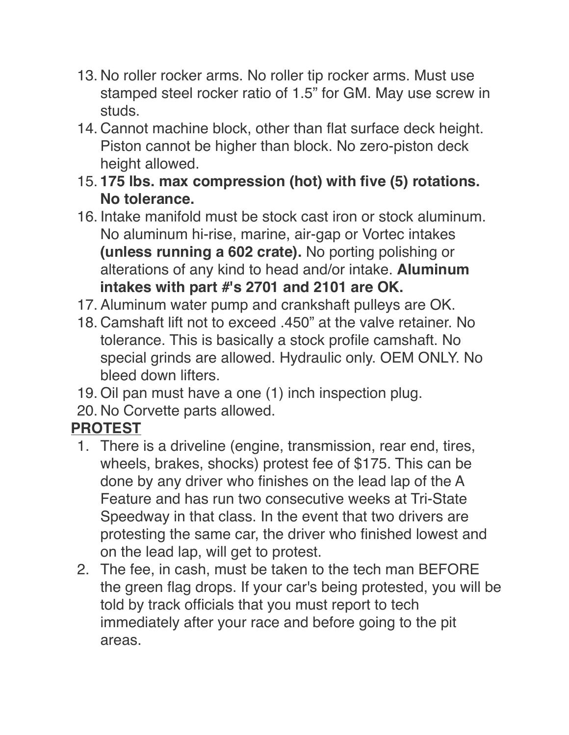- 13. No roller rocker arms. No roller tip rocker arms. Must use stamped steel rocker ratio of 1.5" for GM. May use screw in studs.
- 14. Cannot machine block, other than flat surface deck height. Piston cannot be higher than block. No zero-piston deck height allowed.
- 15. **175 lbs. max compression (hot) with five (5) rotations. No tolerance.**
- 16. Intake manifold must be stock cast iron or stock aluminum. No aluminum hi-rise, marine, air-gap or Vortec intakes **(unless running a 602 crate).** No porting polishing or alterations of any kind to head and/or intake. **Aluminum intakes with part #'s 2701 and 2101 are OK.**
- 17. Aluminum water pump and crankshaft pulleys are OK.
- 18. Camshaft lift not to exceed .450" at the valve retainer. No tolerance. This is basically a stock profile camshaft. No special grinds are allowed. Hydraulic only. OEM ONLY. No bleed down lifters.
- 19. Oil pan must have a one (1) inch inspection plug.
- 20. No Corvette parts allowed.

#### **PROTEST**

- 1. There is a driveline (engine, transmission, rear end, tires, wheels, brakes, shocks) protest fee of \$175. This can be done by any driver who finishes on the lead lap of the A Feature and has run two consecutive weeks at Tri-State Speedway in that class. In the event that two drivers are protesting the same car, the driver who finished lowest and on the lead lap, will get to protest.
- 2. The fee, in cash, must be taken to the tech man BEFORE the green flag drops. If your car's being protested, you will be told by track officials that you must report to tech immediately after your race and before going to the pit areas.